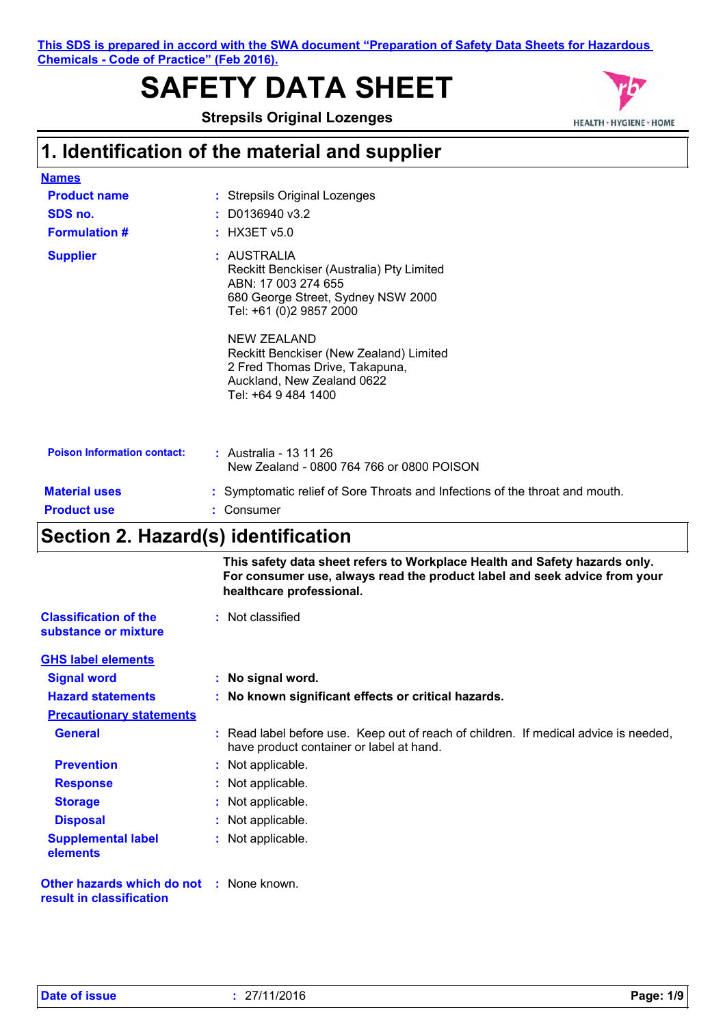**This SDS is prepared in accord with the SWA document "Preparation of Safety Data Sheets for Hazardous Chemicals - Code of Practice" (Feb 2016).**

# **SAFETY DATA SHEET**

**Strepsils Original Lozenges**



# **1. Identification of the material and supplier**

| <b>Names</b>                       |                                                                                                                                                                                                                                                                                                          |
|------------------------------------|----------------------------------------------------------------------------------------------------------------------------------------------------------------------------------------------------------------------------------------------------------------------------------------------------------|
| <b>Product name</b>                | : Strepsils Original Lozenges                                                                                                                                                                                                                                                                            |
| SDS no.                            | $: $ D0136940 v3.2                                                                                                                                                                                                                                                                                       |
| <b>Formulation #</b>               | $:$ HX3ET $v5.0$                                                                                                                                                                                                                                                                                         |
| <b>Supplier</b>                    | : AUSTRALIA<br>Reckitt Benckiser (Australia) Pty Limited<br>ABN: 17 003 274 655<br>680 George Street, Sydney NSW 2000<br>Tel: +61 (0)2 9857 2000<br><b>NEW ZEALAND</b><br>Reckitt Benckiser (New Zealand) Limited<br>2 Fred Thomas Drive, Takapuna,<br>Auckland, New Zealand 0622<br>Tel: +64 9 484 1400 |
| <b>Poison Information contact:</b> | : Australia - 13 11 26<br>New Zealand - 0800 764 766 or 0800 POISON                                                                                                                                                                                                                                      |
| <b>Material uses</b>               | : Symptomatic relief of Sore Throats and Infections of the throat and mouth.                                                                                                                                                                                                                             |
| <b>Product use</b>                 | : Consumer                                                                                                                                                                                                                                                                                               |

### **Section 2. Hazard(s) identification**

|                                                                             | This safety data sheet refers to Workplace Health and Safety hazards only.<br>For consumer use, always read the product label and seek advice from your<br>healthcare professional. |
|-----------------------------------------------------------------------------|-------------------------------------------------------------------------------------------------------------------------------------------------------------------------------------|
| <b>Classification of the</b><br>substance or mixture                        | : Not classified                                                                                                                                                                    |
| <b>GHS label elements</b>                                                   |                                                                                                                                                                                     |
| <b>Signal word</b>                                                          | : No signal word.                                                                                                                                                                   |
| <b>Hazard statements</b>                                                    | : No known significant effects or critical hazards.                                                                                                                                 |
| <b>Precautionary statements</b>                                             |                                                                                                                                                                                     |
| <b>General</b>                                                              | : Read label before use. Keep out of reach of children. If medical advice is needed,<br>have product container or label at hand.                                                    |
| <b>Prevention</b>                                                           | : Not applicable.                                                                                                                                                                   |
| <b>Response</b>                                                             | : Not applicable.                                                                                                                                                                   |
| <b>Storage</b>                                                              | : Not applicable.                                                                                                                                                                   |
| <b>Disposal</b>                                                             | : Not applicable.                                                                                                                                                                   |
| <b>Supplemental label</b><br>elements                                       | : Not applicable.                                                                                                                                                                   |
| <b>Other hazards which do not : None known.</b><br>result in classification |                                                                                                                                                                                     |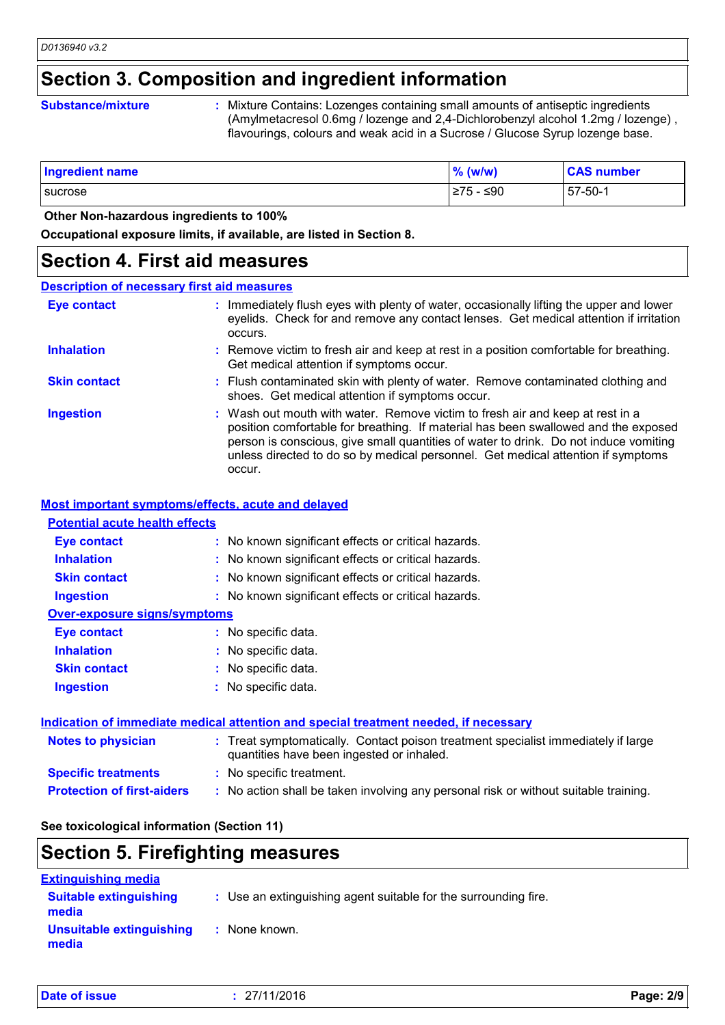### **Section 3. Composition and ingredient information**

#### **Substance/mixture :**

Mixture Contains: Lozenges containing small amounts of antiseptic ingredients (Amylmetacresol 0.6mg / lozenge and 2,4-Dichlorobenzyl alcohol 1.2mg / lozenge) , flavourings, colours and weak acid in a Sucrose / Glucose Syrup lozenge base.

| Ingredient name | $\%$ (w/w) | <b>CAS number</b> |
|-----------------|------------|-------------------|
| sucrose         | I≥75 - ≤90 | $57-50-1$         |

#### **Other Non-hazardous ingredients to 100%**

**Occupational exposure limits, if available, are listed in Section 8.**

### **Section 4. First aid measures**

### **Description of necessary first aid measures**

| <b>Eye contact</b>  | : Immediately flush eyes with plenty of water, occasionally lifting the upper and lower<br>eyelids. Check for and remove any contact lenses. Get medical attention if irritation<br>occurs.                                                                                                                                                               |
|---------------------|-----------------------------------------------------------------------------------------------------------------------------------------------------------------------------------------------------------------------------------------------------------------------------------------------------------------------------------------------------------|
| <b>Inhalation</b>   | : Remove victim to fresh air and keep at rest in a position comfortable for breathing.<br>Get medical attention if symptoms occur.                                                                                                                                                                                                                        |
| <b>Skin contact</b> | : Flush contaminated skin with plenty of water. Remove contaminated clothing and<br>shoes. Get medical attention if symptoms occur.                                                                                                                                                                                                                       |
| <b>Ingestion</b>    | : Wash out mouth with water. Remove victim to fresh air and keep at rest in a<br>position comfortable for breathing. If material has been swallowed and the exposed<br>person is conscious, give small quantities of water to drink. Do not induce vomiting<br>unless directed to do so by medical personnel. Get medical attention if symptoms<br>occur. |

### **Most important symptoms/effects, acute and delayed**

### **Potential acute health effects**

| <b>Inhalation</b>                   | : No known significant effects or critical hazards. |
|-------------------------------------|-----------------------------------------------------|
|                                     |                                                     |
| <b>Skin contact</b>                 | : No known significant effects or critical hazards. |
| <b>Ingestion</b>                    | : No known significant effects or critical hazards. |
| <b>Over-exposure signs/symptoms</b> |                                                     |
| <b>Eye contact</b>                  | : No specific data.                                 |
| <b>Inhalation</b>                   | : No specific data.                                 |
| <b>Skin contact</b>                 | : No specific data.                                 |
| <b>Ingestion</b>                    | : No specific data.                                 |
|                                     |                                                     |

|                                   | Indication of immediate medical attention and special treatment needed, if necessary                                           |  |
|-----------------------------------|--------------------------------------------------------------------------------------------------------------------------------|--|
| <b>Notes to physician</b>         | : Treat symptomatically. Contact poison treatment specialist immediately if large<br>quantities have been ingested or inhaled. |  |
| <b>Specific treatments</b>        | : No specific treatment.                                                                                                       |  |
| <b>Protection of first-aiders</b> | : No action shall be taken involving any personal risk or without suitable training.                                           |  |

### **See toxicological information (Section 11)**

## **Section 5. Firefighting measures**

| <b>Extinguishing media</b>             |                                                                 |  |
|----------------------------------------|-----------------------------------------------------------------|--|
| <b>Suitable extinguishing</b><br>media | : Use an extinguishing agent suitable for the surrounding fire. |  |
| Unsuitable extinguishing<br>media      | : None known.                                                   |  |

| Date of issue | 27/11/2016 | Page: 2/9 |
|---------------|------------|-----------|
|               |            |           |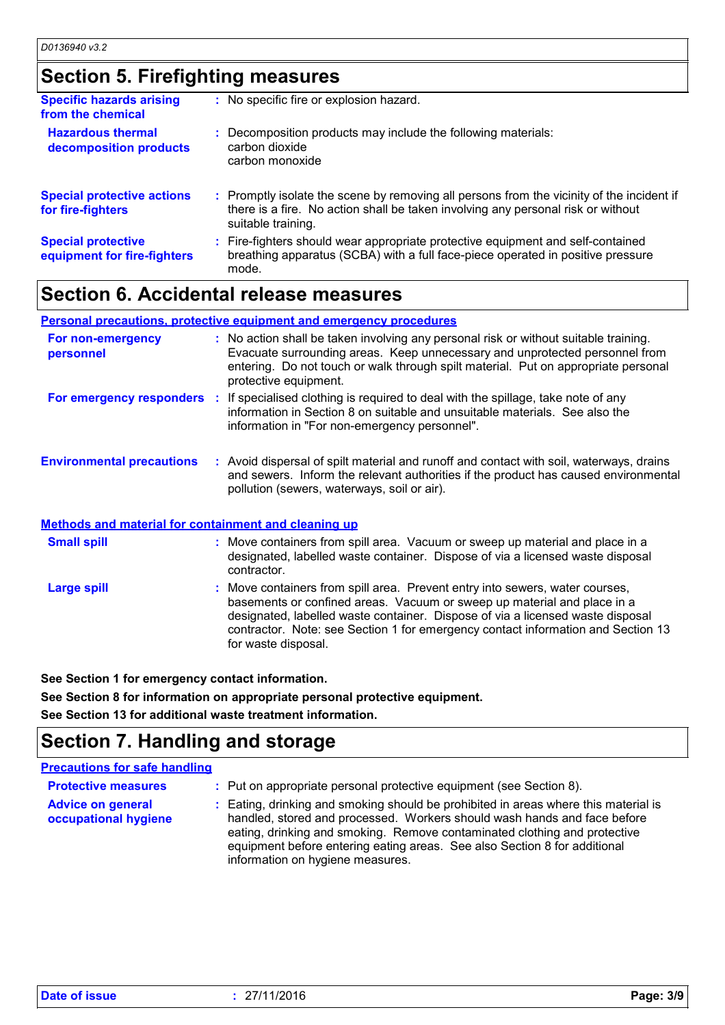### **Section 5. Firefighting measures**

| <b>Specific hazards arising</b><br>from the chemical     | : No specific fire or explosion hazard.                                                                                                                                                             |
|----------------------------------------------------------|-----------------------------------------------------------------------------------------------------------------------------------------------------------------------------------------------------|
| <b>Hazardous thermal</b><br>decomposition products       | : Decomposition products may include the following materials:<br>carbon dioxide<br>carbon monoxide                                                                                                  |
| <b>Special protective actions</b><br>for fire-fighters   | : Promptly isolate the scene by removing all persons from the vicinity of the incident if<br>there is a fire. No action shall be taken involving any personal risk or without<br>suitable training. |
| <b>Special protective</b><br>equipment for fire-fighters | : Fire-fighters should wear appropriate protective equipment and self-contained<br>breathing apparatus (SCBA) with a full face-piece operated in positive pressure<br>mode.                         |

## **Section 6. Accidental release measures**

|                                                             | Personal precautions, protective equipment and emergency procedures                                                                                                                                                                                                                |
|-------------------------------------------------------------|------------------------------------------------------------------------------------------------------------------------------------------------------------------------------------------------------------------------------------------------------------------------------------|
| For non-emergency<br>personnel                              | : No action shall be taken involving any personal risk or without suitable training.<br>Evacuate surrounding areas. Keep unnecessary and unprotected personnel from<br>entering. Do not touch or walk through spilt material. Put on appropriate personal<br>protective equipment. |
| For emergency responders                                    | : If specialised clothing is required to deal with the spillage, take note of any<br>information in Section 8 on suitable and unsuitable materials. See also the<br>information in "For non-emergency personnel".                                                                  |
| <b>Environmental precautions</b>                            | : Avoid dispersal of spilt material and runoff and contact with soil, waterways, drains<br>and sewers. Inform the relevant authorities if the product has caused environmental<br>pollution (sewers, waterways, soil or air).                                                      |
| <b>Methods and material for containment and cleaning up</b> |                                                                                                                                                                                                                                                                                    |
| <b>Small spill</b>                                          | : Move containers from spill area. Vacuum or sweep up material and place in a                                                                                                                                                                                                      |

Move containers from spill area. Prevent entry into sewers, water courses, basements or confined areas. Vacuum or sweep up material and place in a designated, labelled waste container. Dispose of via a licensed waste disposal contractor. Note: see Section 1 for emergency contact information and Section 13 for waste disposal. **Large spill :** designated, labelled waste container. Dispose of via a licensed waste disposal contractor.

**See Section 1 for emergency contact information.**

**See Section 8 for information on appropriate personal protective equipment.**

**See Section 13 for additional waste treatment information.**

## **Section 7. Handling and storage**

| <b>Precautions for safe handling</b>             |                                                                                                                                                                                                                                                                                                                                                               |
|--------------------------------------------------|---------------------------------------------------------------------------------------------------------------------------------------------------------------------------------------------------------------------------------------------------------------------------------------------------------------------------------------------------------------|
| <b>Protective measures</b>                       | : Put on appropriate personal protective equipment (see Section 8).                                                                                                                                                                                                                                                                                           |
| <b>Advice on general</b><br>occupational hygiene | : Eating, drinking and smoking should be prohibited in areas where this material is<br>handled, stored and processed. Workers should wash hands and face before<br>eating, drinking and smoking. Remove contaminated clothing and protective<br>equipment before entering eating areas. See also Section 8 for additional<br>information on hygiene measures. |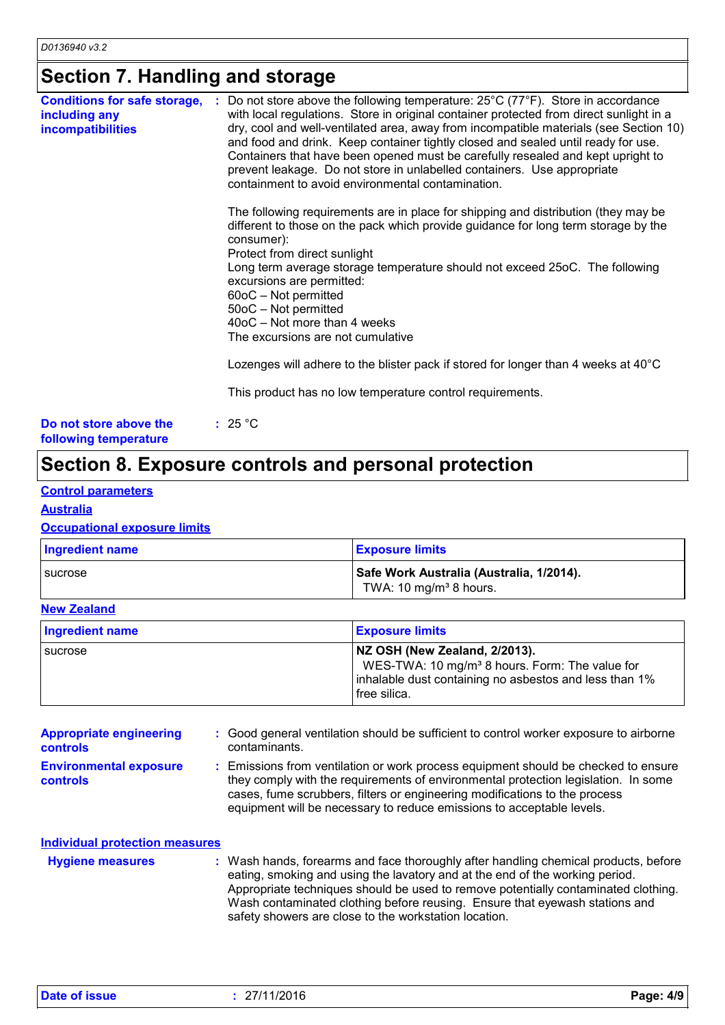# **Section 7. Handling and storage**

| <b>Conditions for safe storage,</b><br>including any<br><b>incompatibilities</b> | : Do not store above the following temperature: $25^{\circ}$ C (77 $^{\circ}$ F). Store in accordance<br>with local regulations. Store in original container protected from direct sunlight in a<br>dry, cool and well-ventilated area, away from incompatible materials (see Section 10)<br>and food and drink. Keep container tightly closed and sealed until ready for use.<br>Containers that have been opened must be carefully resealed and kept upright to<br>prevent leakage. Do not store in unlabelled containers. Use appropriate<br>containment to avoid environmental contamination.<br>The following requirements are in place for shipping and distribution (they may be<br>different to those on the pack which provide guidance for long term storage by the<br>consumer):<br>Protect from direct sunlight<br>Long term average storage temperature should not exceed 25oC. The following<br>excursions are permitted:<br>$60$ oC – Not permitted<br>50oC - Not permitted<br>40oC - Not more than 4 weeks<br>The excursions are not cumulative<br>Lozenges will adhere to the blister pack if stored for longer than 4 weeks at 40°C<br>This product has no low temperature control requirements. |
|----------------------------------------------------------------------------------|--------------------------------------------------------------------------------------------------------------------------------------------------------------------------------------------------------------------------------------------------------------------------------------------------------------------------------------------------------------------------------------------------------------------------------------------------------------------------------------------------------------------------------------------------------------------------------------------------------------------------------------------------------------------------------------------------------------------------------------------------------------------------------------------------------------------------------------------------------------------------------------------------------------------------------------------------------------------------------------------------------------------------------------------------------------------------------------------------------------------------------------------------------------------------------------------------------------------|
| Do not store above the<br>following temperature                                  | : $25^{\circ}$ C                                                                                                                                                                                                                                                                                                                                                                                                                                                                                                                                                                                                                                                                                                                                                                                                                                                                                                                                                                                                                                                                                                                                                                                                   |

# **Section 8. Exposure controls and personal protection**

### **Control parameters**

**Australia**

### **Occupational exposure limits**

| <b>Ingredient name</b> | <b>Exposure limits</b>                                                         |
|------------------------|--------------------------------------------------------------------------------|
| <b>I</b> sucrose       | Safe Work Australia (Australia, 1/2014).<br>TWA: 10 mg/m <sup>3</sup> 8 hours. |

### **New Zealand**

| Ingredient name | <b>Exposure limits</b>                                                                                                                                                |
|-----------------|-----------------------------------------------------------------------------------------------------------------------------------------------------------------------|
| sucrose         | NZ OSH (New Zealand, 2/2013).<br>WES-TWA: 10 mg/m <sup>3</sup> 8 hours. Form: The value for<br>inhalable dust containing no asbestos and less than 1%<br>free silica. |

| <b>Appropriate engineering</b><br>controls       | : Good general ventilation should be sufficient to control worker exposure to airborne<br>contaminants.                                                                                                                                                                                                                         |
|--------------------------------------------------|---------------------------------------------------------------------------------------------------------------------------------------------------------------------------------------------------------------------------------------------------------------------------------------------------------------------------------|
| <b>Environmental exposure</b><br><b>controls</b> | : Emissions from ventilation or work process equipment should be checked to ensure<br>they comply with the requirements of environmental protection legislation. In some<br>cases, fume scrubbers, filters or engineering modifications to the process<br>equipment will be necessary to reduce emissions to acceptable levels. |

| <b>Individual protection measures</b> |                                                                                                                                                                                                                                                                                                                                                                                                   |
|---------------------------------------|---------------------------------------------------------------------------------------------------------------------------------------------------------------------------------------------------------------------------------------------------------------------------------------------------------------------------------------------------------------------------------------------------|
| <b>Hygiene measures</b>               | : Wash hands, forearms and face thoroughly after handling chemical products, before<br>eating, smoking and using the lavatory and at the end of the working period.<br>Appropriate techniques should be used to remove potentially contaminated clothing.<br>Wash contaminated clothing before reusing. Ensure that eyewash stations and<br>safety showers are close to the workstation location. |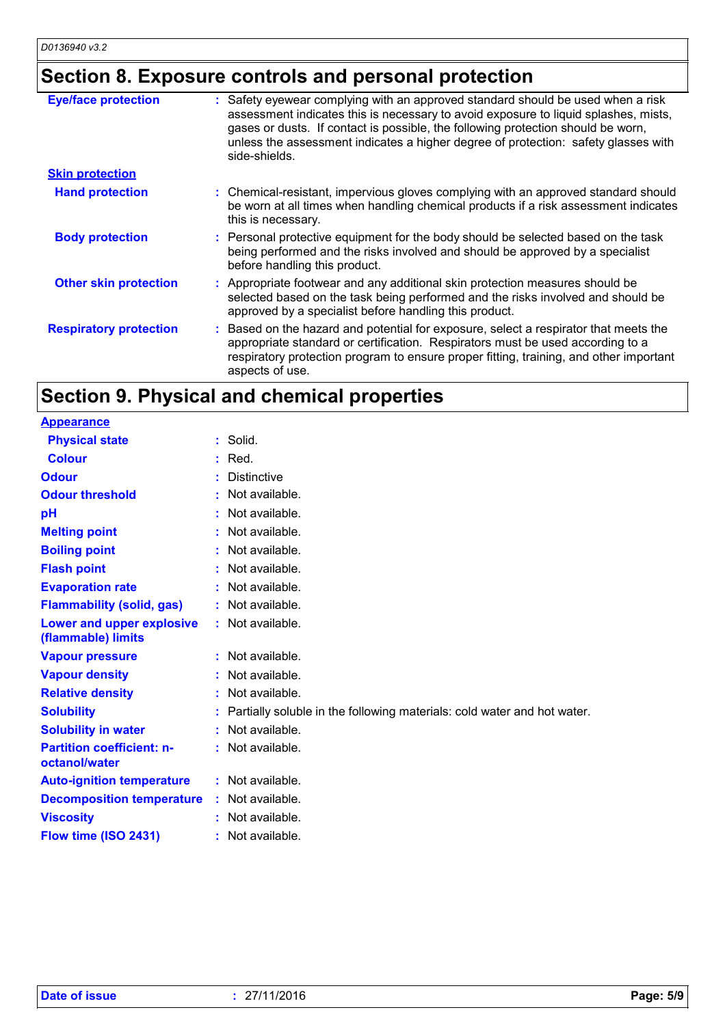# **Section 8. Exposure controls and personal protection**

| <b>Eye/face protection</b>    | : Safety eyewear complying with an approved standard should be used when a risk<br>assessment indicates this is necessary to avoid exposure to liquid splashes, mists,<br>gases or dusts. If contact is possible, the following protection should be worn,<br>unless the assessment indicates a higher degree of protection: safety glasses with<br>side-shields. |
|-------------------------------|-------------------------------------------------------------------------------------------------------------------------------------------------------------------------------------------------------------------------------------------------------------------------------------------------------------------------------------------------------------------|
| <b>Skin protection</b>        |                                                                                                                                                                                                                                                                                                                                                                   |
| <b>Hand protection</b>        | : Chemical-resistant, impervious gloves complying with an approved standard should<br>be worn at all times when handling chemical products if a risk assessment indicates<br>this is necessary.                                                                                                                                                                   |
| <b>Body protection</b>        | : Personal protective equipment for the body should be selected based on the task<br>being performed and the risks involved and should be approved by a specialist<br>before handling this product.                                                                                                                                                               |
| <b>Other skin protection</b>  | : Appropriate footwear and any additional skin protection measures should be<br>selected based on the task being performed and the risks involved and should be<br>approved by a specialist before handling this product.                                                                                                                                         |
| <b>Respiratory protection</b> | : Based on the hazard and potential for exposure, select a respirator that meets the<br>appropriate standard or certification. Respirators must be used according to a<br>respiratory protection program to ensure proper fitting, training, and other important<br>aspects of use.                                                                               |

# **Section 9. Physical and chemical properties**

| $:$ Solid.                                                              |
|-------------------------------------------------------------------------|
| $:$ Red.                                                                |
| <b>Distinctive</b>                                                      |
| Not available.                                                          |
| Not available.                                                          |
| : Not available.                                                        |
| : Not available.                                                        |
| : Not available.                                                        |
| : Not available.                                                        |
| : Not available.                                                        |
| : Not available.                                                        |
| : Not available.                                                        |
| : Not available.                                                        |
| Not available.                                                          |
| Partially soluble in the following materials: cold water and hot water. |
| : Not available.                                                        |
| : Not available.                                                        |
| : Not available.                                                        |
| : Not available.                                                        |
| : Not available.                                                        |
| : Not available.                                                        |
|                                                                         |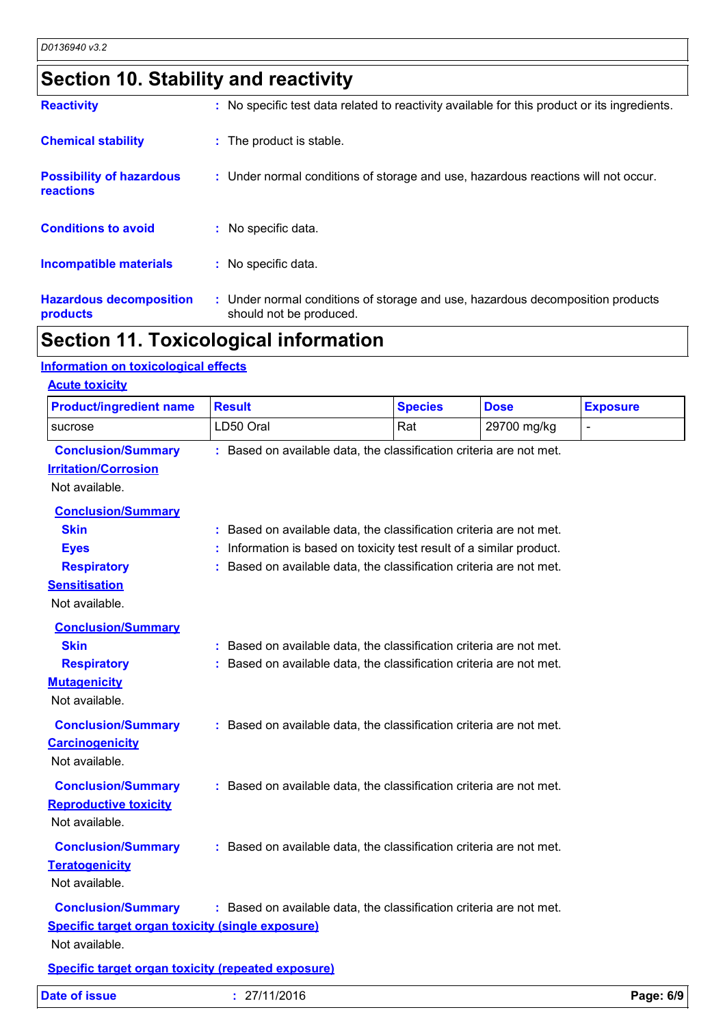# **Section 10. Stability and reactivity**

| <b>Reactivity</b>                            | : No specific test data related to reactivity available for this product or its ingredients.              |
|----------------------------------------------|-----------------------------------------------------------------------------------------------------------|
| <b>Chemical stability</b>                    | : The product is stable.                                                                                  |
| <b>Possibility of hazardous</b><br>reactions | : Under normal conditions of storage and use, hazardous reactions will not occur.                         |
| <b>Conditions to avoid</b>                   | : No specific data.                                                                                       |
| Incompatible materials                       | : No specific data.                                                                                       |
| <b>Hazardous decomposition</b><br>products   | : Under normal conditions of storage and use, hazardous decomposition products<br>should not be produced. |

# **Section 11. Toxicological information**

### **Information on toxicological effects**

| <b>Product/ingredient name</b>                                                                                          | <b>Result</b>                                                                                                                              | <b>Species</b>                                                                                                                          | <b>Dose</b> | <b>Exposure</b> |
|-------------------------------------------------------------------------------------------------------------------------|--------------------------------------------------------------------------------------------------------------------------------------------|-----------------------------------------------------------------------------------------------------------------------------------------|-------------|-----------------|
| sucrose                                                                                                                 | LD50 Oral                                                                                                                                  | Rat                                                                                                                                     | 29700 mg/kg |                 |
| <b>Conclusion/Summary</b><br><b>Irritation/Corrosion</b><br>Not available.                                              | : Based on available data, the classification criteria are not met.                                                                        |                                                                                                                                         |             |                 |
| <b>Conclusion/Summary</b><br><b>Skin</b><br><b>Eyes</b><br><b>Respiratory</b><br><b>Sensitisation</b><br>Not available. | : Based on available data, the classification criteria are not met.                                                                        | Information is based on toxicity test result of a similar product.<br>Based on available data, the classification criteria are not met. |             |                 |
| <b>Conclusion/Summary</b><br><b>Skin</b><br><b>Respiratory</b><br><b>Mutagenicity</b><br>Not available.                 | : Based on available data, the classification criteria are not met.<br>: Based on available data, the classification criteria are not met. |                                                                                                                                         |             |                 |
| <b>Conclusion/Summary</b><br><b>Carcinogenicity</b><br>Not available.                                                   | : Based on available data, the classification criteria are not met.                                                                        |                                                                                                                                         |             |                 |
| <b>Conclusion/Summary</b><br><b>Reproductive toxicity</b><br>Not available.                                             | : Based on available data, the classification criteria are not met.                                                                        |                                                                                                                                         |             |                 |
| <b>Conclusion/Summary</b><br><b>Teratogenicity</b><br>Not available.                                                    | : Based on available data, the classification criteria are not met.                                                                        |                                                                                                                                         |             |                 |
| <b>Conclusion/Summary</b><br><b>Specific target organ toxicity (single exposure)</b><br>Not available.                  | : Based on available data, the classification criteria are not met.                                                                        |                                                                                                                                         |             |                 |
| <b>Specific target organ toxicity (repeated exposure)</b>                                                               |                                                                                                                                            |                                                                                                                                         |             |                 |
| <b>Date of issue</b>                                                                                                    | : 27/11/2016                                                                                                                               |                                                                                                                                         |             | Page: 6/9       |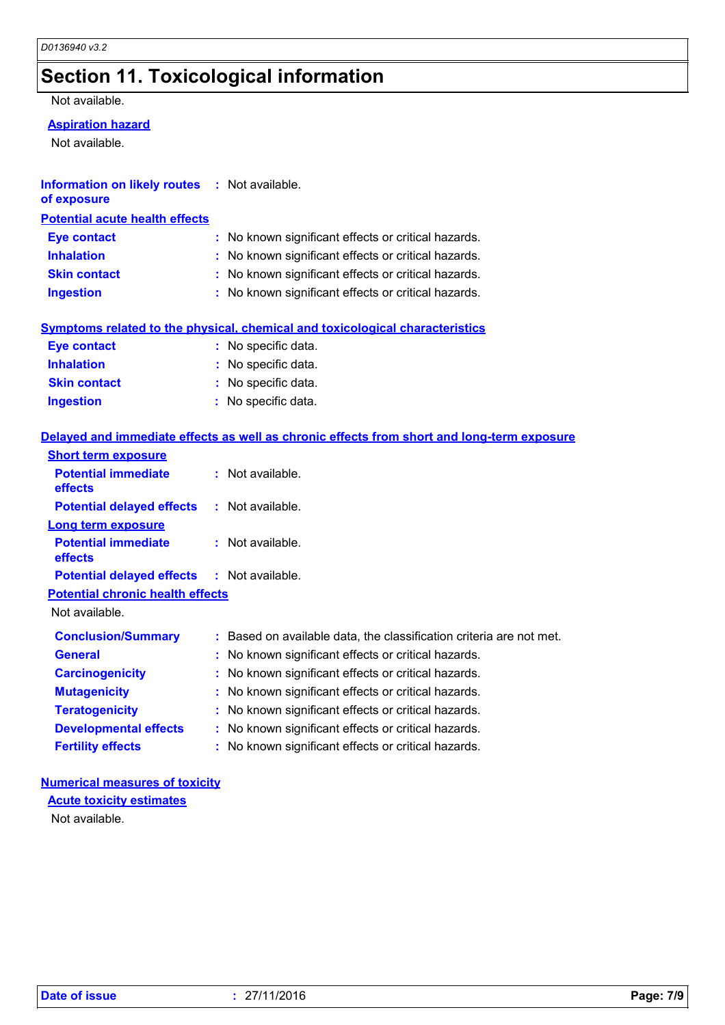# **Section 11. Toxicological information**

Not available.

### **Aspiration hazard**

Not available.

| Information on likely routes : Not available. |  |
|-----------------------------------------------|--|
| of exposure                                   |  |

| <b>Potential acute health effects</b> |                                                     |
|---------------------------------------|-----------------------------------------------------|
| Eye contact                           | : No known significant effects or critical hazards. |
| <b>Inhalation</b>                     | : No known significant effects or critical hazards. |
| <b>Skin contact</b>                   | : No known significant effects or critical hazards. |
| <b>Ingestion</b>                      | : No known significant effects or critical hazards. |

### **Symptoms related to the physical, chemical and toxicological characteristics**

| <b>Eye contact</b>  | : No specific data. |
|---------------------|---------------------|
| <b>Inhalation</b>   | : No specific data. |
| <b>Skin contact</b> | : No specific data. |
| <b>Ingestion</b>    | : No specific data. |

### **Delayed and immediate effects as well as chronic effects from short and long-term exposure**

| <b>Short term exposure</b>                        |                                                                     |
|---------------------------------------------------|---------------------------------------------------------------------|
| <b>Potential immediate</b><br><b>effects</b>      | $:$ Not available.                                                  |
| <b>Potential delayed effects</b>                  | : Not available.                                                    |
| Long term exposure                                |                                                                     |
| <b>Potential immediate</b><br><b>effects</b>      | $:$ Not available.                                                  |
| <b>Potential delayed effects : Not available.</b> |                                                                     |
| <b>Potential chronic health effects</b>           |                                                                     |
| Not available.                                    |                                                                     |
| <b>Conclusion/Summary</b>                         | : Based on available data, the classification criteria are not met. |
| <b>General</b>                                    | : No known significant effects or critical hazards.                 |
| <b>Carcinogenicity</b>                            | : No known significant effects or critical hazards.                 |
| <b>Mutagenicity</b>                               | : No known significant effects or critical hazards.                 |
| <b>Teratogenicity</b>                             | : No known significant effects or critical hazards.                 |
| <b>Developmental effects</b>                      | : No known significant effects or critical hazards.                 |
| <b>Fertility effects</b>                          | : No known significant effects or critical hazards.                 |

### **Numerical measures of toxicity**

**Acute toxicity estimates**

Not available.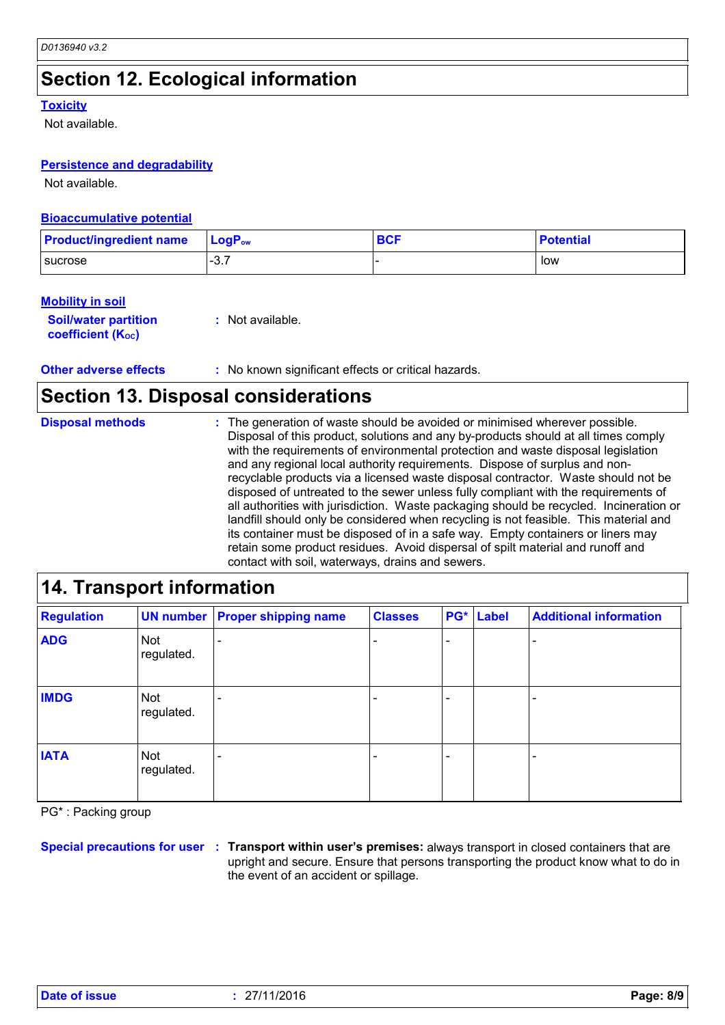# **Section 12. Ecological information**

#### **Toxicity**

Not available.

### **Persistence and degradability**

Not available.

#### **Bioaccumulative potential**

| <b>Product/ingredient name</b> | $\mathsf{LoaP}_\mathsf{ow}$ | <b>BCF</b> | <b>Potential</b> |
|--------------------------------|-----------------------------|------------|------------------|
| <b>I</b> sucrose               | $\sim$ $\sim$<br>…ت−        |            | low              |

#### **Mobility in soil**

**Soil/water partition coefficient (Koc) :** Not available.

**Other adverse effects** : No known significant effects or critical hazards.

### **Section 13. Disposal considerations**

The generation of waste should be avoided or minimised wherever possible. Disposal of this product, solutions and any by-products should at all times comply with the requirements of environmental protection and waste disposal legislation and any regional local authority requirements. Dispose of surplus and nonrecyclable products via a licensed waste disposal contractor. Waste should not be disposed of untreated to the sewer unless fully compliant with the requirements of all authorities with jurisdiction. Waste packaging should be recycled. Incineration or landfill should only be considered when recycling is not feasible. This material and its container must be disposed of in a safe way. Empty containers or liners may retain some product residues. Avoid dispersal of spilt material and runoff and contact with soil, waterways, drains and sewers. **Disposal methods :**

| 14. Transport information |                          |                                       |                |     |       |                               |
|---------------------------|--------------------------|---------------------------------------|----------------|-----|-------|-------------------------------|
| <b>Regulation</b>         |                          | <b>UN number Proper shipping name</b> | <b>Classes</b> | PG* | Label | <b>Additional information</b> |
| <b>ADG</b>                | Not<br>regulated.        |                                       |                |     |       |                               |
| <b>IMDG</b>               | <b>Not</b><br>regulated. |                                       |                |     |       |                               |
| <b>IATA</b>               | Not<br>regulated.        |                                       |                |     |       |                               |

PG\* : Packing group

**Special precautions for user Transport within user's premises:** always transport in closed containers that are **:** upright and secure. Ensure that persons transporting the product know what to do in the event of an accident or spillage.